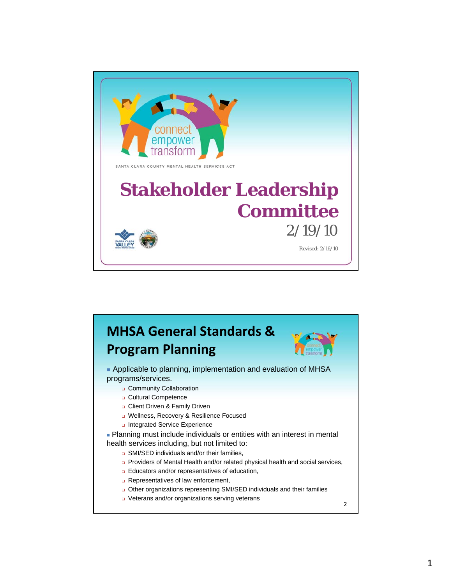

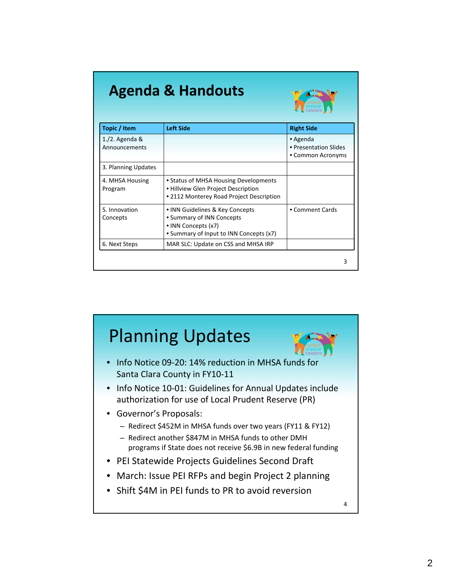| <b>Agenda &amp; Handouts</b><br>transform |                                                                                                                                |                                                        |  |  |  |
|-------------------------------------------|--------------------------------------------------------------------------------------------------------------------------------|--------------------------------------------------------|--|--|--|
| Topic / Item                              | <b>Left Side</b>                                                                                                               | <b>Right Side</b>                                      |  |  |  |
| $1./2.$ Agenda &<br>Announcements         |                                                                                                                                | • Agenda<br>• Presentation Slides<br>• Common Acronyms |  |  |  |
| 3. Planning Updates                       |                                                                                                                                |                                                        |  |  |  |
| 4. MHSA Housing<br>Program                | • Status of MHSA Housing Developments<br>• Hillview Glen Project Description<br>• 2112 Monterey Road Project Description       |                                                        |  |  |  |
| 5. Innovation<br>Concepts                 | • INN Guidelines & Key Concepts<br>• Summary of INN Concepts<br>• INN Concepts (x7)<br>• Summary of Input to INN Concepts (x7) | • Comment Cards                                        |  |  |  |
| 6. Next Steps                             | MAR SLC: Update on CSS and MHSA IRP                                                                                            |                                                        |  |  |  |

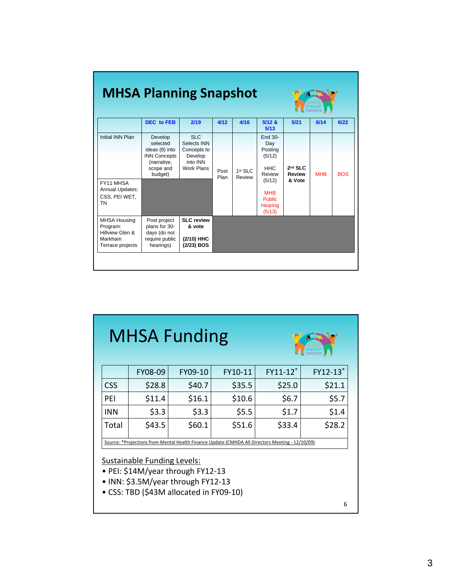| <b>MHSA Planning Snapshot</b>                                                     |                                                                                                     |                                                                                      |              |                               |                                                                                                                           |                                      |            |            |
|-----------------------------------------------------------------------------------|-----------------------------------------------------------------------------------------------------|--------------------------------------------------------------------------------------|--------------|-------------------------------|---------------------------------------------------------------------------------------------------------------------------|--------------------------------------|------------|------------|
|                                                                                   | <b>DEC</b> to FEB                                                                                   | 2/19                                                                                 | 4/12         | 4/16                          | 5/12 &<br>5/13                                                                                                            | 5/21                                 | 6/14       | 6/22       |
| Initial INN Plan<br>FY11 MHSA<br><b>Annual Updates:</b><br>CSS, PEI WET,<br>TN    | Develop<br>selected<br>ideas (8) into<br><b>INN Concepts</b><br>(narrative,<br>scope and<br>budget) | <b>SLC</b><br>Selects INN<br>Concepts to<br>Develop<br>into INN<br><b>Work Plans</b> | Post<br>Plan | 1 <sup>st</sup> SLC<br>Review | End 30-<br>Day<br>Posting<br>(5/12)<br><b>HHC</b><br>Review<br>(5/12)<br><b>MHB</b><br><b>Public</b><br>Hearing<br>(5/13) | $2nd$ SLC<br><b>Review</b><br>& Vote | <b>MHB</b> | <b>BOS</b> |
| <b>MHSA Housing</b><br>Program:<br>Hillview Glen &<br>Markham<br>Terrace projects | Post project<br>plans for 30-<br>days (do not<br>require public<br>hearings)                        | <b>SLC review</b><br>& vote<br>(2/10) HHC<br>(2/23) BOS                              |              |                               |                                                                                                                           |                                      |            |            |
|                                                                                   |                                                                                                     |                                                                                      |              |                               |                                                                                                                           |                                      |            |            |

## MHSA Funding



|                                                                                                 | FY08-09 | FY09-10 | FY10-11 | FY11-12* | FY12-13* |
|-------------------------------------------------------------------------------------------------|---------|---------|---------|----------|----------|
| <b>CSS</b>                                                                                      | \$28.8  | \$40.7  | \$35.5  | \$25.0   | \$21.1   |
| PEI                                                                                             | \$11.4  | \$16.1  | \$10.6  | \$6.7    | \$5.7    |
| <b>INN</b>                                                                                      | \$3.3   | \$3.3   | \$5.5   | \$1.7    | \$1.4    |
| Total                                                                                           | \$43.5  | \$60.1  | \$51.6  | \$33.4   | \$28.2   |
| Source: *Projections from Mental Health Finance Update (CMHDA All Directors Meeting - 12/10/09) |         |         |         |          |          |

## Sustainable Funding Levels:

- PEI: \$14M/year through FY12‐13
- INN: \$3.5M/year through FY12‐13
- CSS: TBD (\$43M allocated in FY09‐10)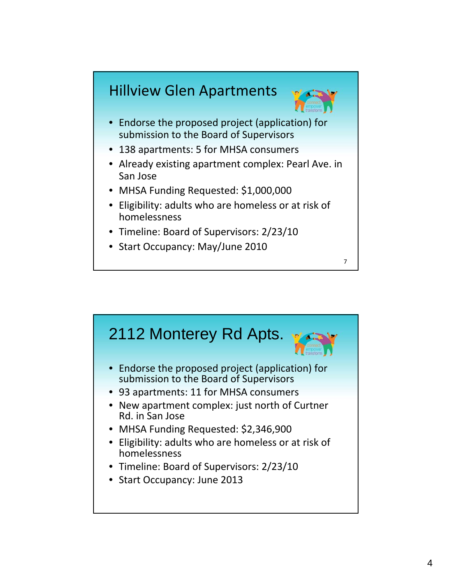## Hillview Glen Apartments



7

- Endorse the proposed project (application) for submission to the Board of Supervisors
- 138 apartments: 5 for MHSA consumers
- Already existing apartment complex: Pearl Ave. in San Jose
- MHSA Funding Requested: \$1,000,000
- Eligibility: adults who are homeless or at risk of homelessness
- Timeline: Board of Supervisors: 2/23/10
- Start Occupancy: May/June 2010

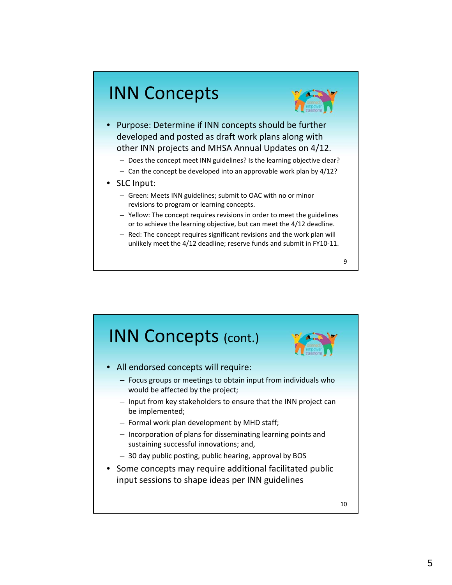## INN Concepts



- Purpose: Determine if INN concepts should be further developed and posted as draft work plans along with other INN projects and MHSA Annual Updates on 4/12.
	- Does the concept meet INN guidelines? Is the learning objective clear?
	- $-$  Can the concept be developed into an approvable work plan by  $4/12$ ?
- SLC Input:
	- Green: Meets INN guidelines; submit to OAC with no or minor revisions to program or learning concepts.
	- Yellow: The concept requires revisions in order to meet the guidelines or to achieve the learning objective, but can meet the 4/12 deadline.
	- Red: The concept requires significant revisions and the work plan will unlikely meet the 4/12 deadline; reserve funds and submit in FY10‐11.

9